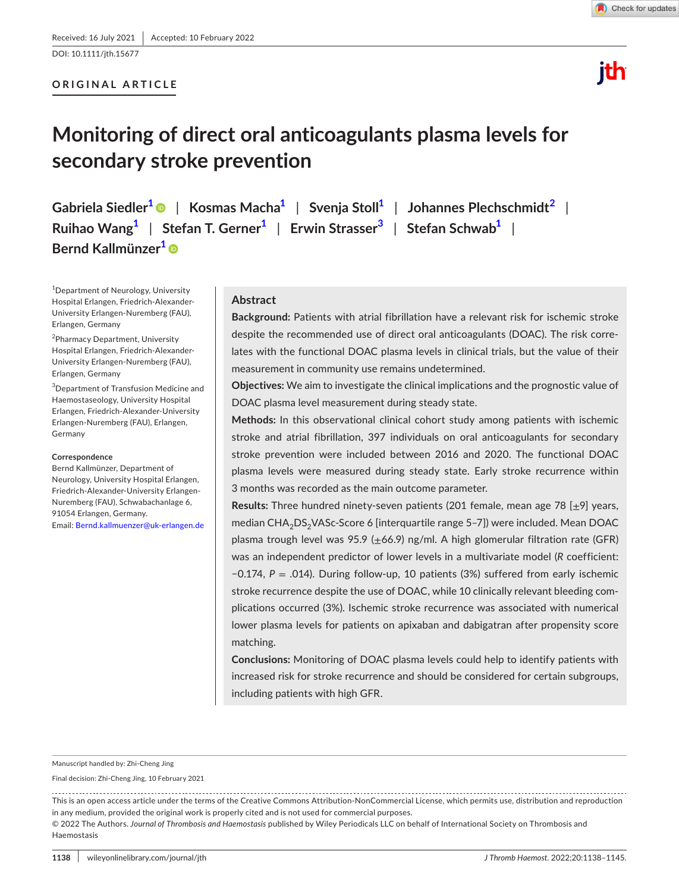DOI: 10.1111/jth.15677

## **ORIGINAL ARTICLE**



lih

# **Monitoring of direct oral anticoagulants plasma levels for secondary stroke prevention**

**Gabriela Siedler[1](#page-0-0)** | **Kosmas Mach[a1](#page-0-0)** | **Svenja Stol[l1](#page-0-0)** | **Johannes Plechschmidt[2](#page-0-1)** | **Ruihao Wan[g1](#page-0-0)** | **Stefan T. Gerne[r1](#page-0-0)** | **Erwin Strasser[3](#page-0-2)** | **Stefan Schwa[b1](#page-0-0)** | **Bernd Kallmünzer[1](#page-0-0)**

<span id="page-0-0"></span>1 Department of Neurology, University Hospital Erlangen, Friedrich-Alexander-University Erlangen-Nuremberg (FAU), Erlangen, Germany

<span id="page-0-1"></span><sup>2</sup>Pharmacy Department, University Hospital Erlangen, Friedrich-Alexander-University Erlangen-Nuremberg (FAU), Erlangen, Germany

<span id="page-0-2"></span>3 Department of Transfusion Medicine and Haemostaseology, University Hospital Erlangen, Friedrich-Alexander-University Erlangen-Nuremberg (FAU), Erlangen, Germany

#### **Correspondence**

Bernd Kallmünzer, Department of Neurology, University Hospital Erlangen, Friedrich-Alexander-University Erlangen-Nuremberg (FAU), Schwabachanlage 6, 91054 Erlangen, Germany. Email: [Bernd.kallmuenzer@uk-erlangen.de](mailto:Bernd.kallmuenzer@uk-erlangen.de)

## **Abstract**

**Background:** Patients with atrial fibrillation have a relevant risk for ischemic stroke despite the recommended use of direct oral anticoagulants (DOAC). The risk correlates with the functional DOAC plasma levels in clinical trials, but the value of their measurement in community use remains undetermined.

**Objectives:** We aim to investigate the clinical implications and the prognostic value of DOAC plasma level measurement during steady state.

**Methods:** In this observational clinical cohort study among patients with ischemic stroke and atrial fibrillation, 397 individuals on oral anticoagulants for secondary stroke prevention were included between 2016 and 2020. The functional DOAC plasma levels were measured during steady state. Early stroke recurrence within 3 months was recorded as the main outcome parameter.

**Results:** Three hundred ninety-seven patients (201 female, mean age 78 [±9] years, median CHA<sub>2</sub>DS<sub>2</sub>VASc-Score 6 [interquartile range 5-7]) were included. Mean DOAC plasma trough level was 95.9 ( $\pm$ 66.9) ng/ml. A high glomerular filtration rate (GFR) was an independent predictor of lower levels in a multivariate model (*R* coefficient: −0.174, *P* = .014). During follow-up, 10 patients (3%) suffered from early ischemic stroke recurrence despite the use of DOAC, while 10 clinically relevant bleeding complications occurred (3%). Ischemic stroke recurrence was associated with numerical lower plasma levels for patients on apixaban and dabigatran after propensity score matching.

**Conclusions:** Monitoring of DOAC plasma levels could help to identify patients with increased risk for stroke recurrence and should be considered for certain subgroups, including patients with high GFR.

Manuscript handled by: Zhi-Cheng Jing

Final decision: Zhi-Cheng Jing, 10 February 2021

This is an open access article under the terms of the Creative Commons Attribution-NonCommercial License, which permits use, distribution and reproduction in any medium, provided the original work is properly cited and is not used for commercial purposes.

© 2022 The Authors. *Journal of Thrombosis and Haemostasis* published by Wiley Periodicals LLC on behalf of International Society on Thrombosis and Haemostasis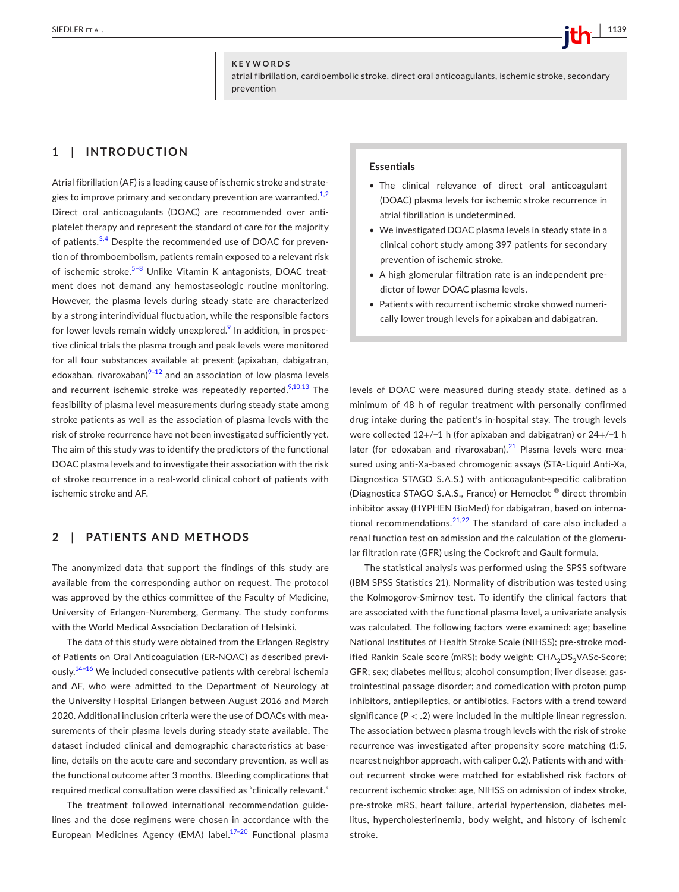#### **KEYWORDS**

atrial fibrillation, cardioembolic stroke, direct oral anticoagulants, ischemic stroke, secondary prevention

## **1**  | **INTRODUCTION**

Atrial fibrillation (AF) is a leading cause of ischemic stroke and strategies to improve primary and secondary prevention are warranted. $1,2$ Direct oral anticoagulants (DOAC) are recommended over antiplatelet therapy and represent the standard of care for the majority of patients.<sup>3,4</sup> Despite the recommended use of DOAC for prevention of thromboembolism, patients remain exposed to a relevant risk of ischemic stroke.<sup>5-8</sup> Unlike Vitamin K antagonists, DOAC treatment does not demand any hemostaseologic routine monitoring. However, the plasma levels during steady state are characterized by a strong interindividual fluctuation, while the responsible factors for lower levels remain widely unexplored.<sup>[9](#page-6-3)</sup> In addition, in prospective clinical trials the plasma trough and peak levels were monitored for all four substances available at present (apixaban, dabigatran, edoxaban, rivaroxaban) $9-12$  and an association of low plasma levels and recurrent ischemic stroke was repeatedly reported. $9,10,13$  The feasibility of plasma level measurements during steady state among stroke patients as well as the association of plasma levels with the risk of stroke recurrence have not been investigated sufficiently yet. The aim of this study was to identify the predictors of the functional DOAC plasma levels and to investigate their association with the risk of stroke recurrence in a real-world clinical cohort of patients with ischemic stroke and AF.

## **2**  | **PATIENTS AND METHODS**

The anonymized data that support the findings of this study are available from the corresponding author on request. The protocol was approved by the ethics committee of the Faculty of Medicine, University of Erlangen-Nuremberg, Germany. The study conforms with the World Medical Association Declaration of Helsinki.

The data of this study were obtained from the Erlangen Registry of Patients on Oral Anticoagulation (ER-NOAC) as described previously.<sup>14-16</sup> We included consecutive patients with cerebral ischemia and AF, who were admitted to the Department of Neurology at the University Hospital Erlangen between August 2016 and March 2020. Additional inclusion criteria were the use of DOACs with measurements of their plasma levels during steady state available. The dataset included clinical and demographic characteristics at baseline, details on the acute care and secondary prevention, as well as the functional outcome after 3 months. Bleeding complications that required medical consultation were classified as "clinically relevant."

The treatment followed international recommendation guidelines and the dose regimens were chosen in accordance with the European Medicines Agency (EMA) label.<sup>17-20</sup> Functional plasma

## **Essentials**

- The clinical relevance of direct oral anticoagulant (DOAC) plasma levels for ischemic stroke recurrence in atrial fibrillation is undetermined.
- We investigated DOAC plasma levels in steady state in a clinical cohort study among 397 patients for secondary prevention of ischemic stroke.
- A high glomerular filtration rate is an independent predictor of lower DOAC plasma levels.
- Patients with recurrent ischemic stroke showed numerically lower trough levels for apixaban and dabigatran.

levels of DOAC were measured during steady state, defined as a minimum of 48 h of regular treatment with personally confirmed drug intake during the patient's in-hospital stay. The trough levels were collected 12+/−1 h (for apixaban and dabigatran) or 24+/−1 h later (for edoxaban and rivaroxaban). $21$  Plasma levels were measured using anti-Xa-based chromogenic assays (STA-Liquid Anti-Xa, Diagnostica STAGO S.A.S.) with anticoagulant-specific calibration (Diagnostica STAGO S.A.S., France) or Hemoclot ® direct thrombin inhibitor assay (HYPHEN BioMed) for dabigatran, based on international recommendations. $21,22$  The standard of care also included a renal function test on admission and the calculation of the glomerular filtration rate (GFR) using the Cockroft and Gault formula.

The statistical analysis was performed using the SPSS software (IBM SPSS Statistics 21). Normality of distribution was tested using the Kolmogorov-Smirnov test. To identify the clinical factors that are associated with the functional plasma level, a univariate analysis was calculated. The following factors were examined: age; baseline National Institutes of Health Stroke Scale (NIHSS); pre-stroke modified Rankin Scale score (mRS); body weight; CHA<sub>2</sub>DS<sub>2</sub>VASc-Score; GFR; sex; diabetes mellitus; alcohol consumption; liver disease; gastrointestinal passage disorder; and comedication with proton pump inhibitors, antiepileptics, or antibiotics. Factors with a trend toward significance (*P* < .2) were included in the multiple linear regression. The association between plasma trough levels with the risk of stroke recurrence was investigated after propensity score matching (1:5, nearest neighbor approach, with caliper 0.2). Patients with and without recurrent stroke were matched for established risk factors of recurrent ischemic stroke: age, NIHSS on admission of index stroke, pre-stroke mRS, heart failure, arterial hypertension, diabetes mellitus, hypercholesterinemia, body weight, and history of ischemic stroke.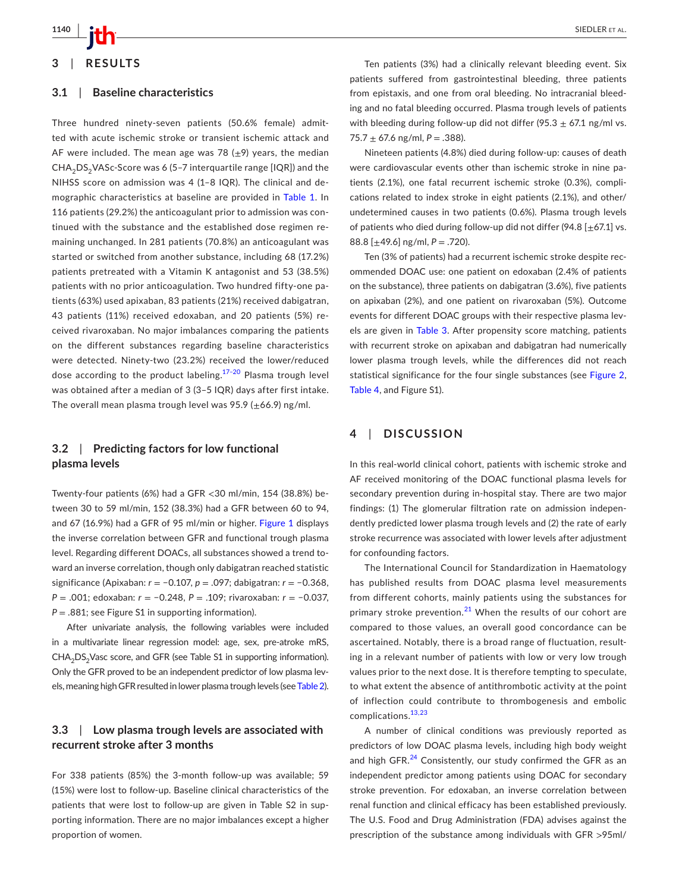

## **3**  | **RESULTS**

#### **3.1**  | **Baseline characteristics**

Three hundred ninety-seven patients (50.6% female) admitted with acute ischemic stroke or transient ischemic attack and AF were included. The mean age was 78  $(\pm 9)$  years, the median  $CHA<sub>2</sub>DS<sub>2</sub> VASC-Score was 6 (5-7 interquartile range [IQR])$  and the NIHSS score on admission was 4 (1–8 IQR). The clinical and demographic characteristics at baseline are provided in Table [1](#page-3-0). In 116 patients (29.2%) the anticoagulant prior to admission was continued with the substance and the established dose regimen remaining unchanged. In 281 patients (70.8%) an anticoagulant was started or switched from another substance, including 68 (17.2%) patients pretreated with a Vitamin K antagonist and 53 (38.5%) patients with no prior anticoagulation. Two hundred fifty-one patients (63%) used apixaban, 83 patients (21%) received dabigatran, 43 patients (11%) received edoxaban, and 20 patients (5%) received rivaroxaban. No major imbalances comparing the patients on the different substances regarding baseline characteristics were detected. Ninety-two (23.2%) received the lower/reduced dose according to the product labeling.<sup>17-20</sup> Plasma trough level was obtained after a median of 3 (3–5 IQR) days after first intake. The overall mean plasma trough level was 95.9 ( $\pm$ 66.9) ng/ml.

## **3.2**  | **Predicting factors for low functional plasma levels**

Twenty-four patients (6%) had a GFR <30 ml/min, 154 (38.8%) between 30 to 59 ml/min, 152 (38.3%) had a GFR between 60 to 94, and 67 ([1](#page-4-0)6.9%) had a GFR of 95 ml/min or higher. Figure 1 displays the inverse correlation between GFR and functional trough plasma level. Regarding different DOACs, all substances showed a trend toward an inverse correlation, though only dabigatran reached statistic significance (Apixaban: *r* = −0.107, *p* = .097; dabigatran: *r* = −0.368, *P* = .001; edoxaban: *r* = −0.248, *P* = .109; rivaroxaban: *r* = −0.037, *P* = .881; see Figure S1 in supporting information).

After univariate analysis, the following variables were included in a multivariate linear regression model: age, sex, pre-atroke mRS, CHA<sub>2</sub>DS<sub>2</sub>Vasc score, and GFR (see Table S1 in supporting information). Only the GFR proved to be an independent predictor of low plasma levels, meaning high GFR resulted in lower plasma trough levels (see Table [2](#page-4-1)).

## **3.3**  | **Low plasma trough levels are associated with recurrent stroke after 3 months**

For 338 patients (85%) the 3-month follow-up was available; 59 (15%) were lost to follow-up. Baseline clinical characteristics of the patients that were lost to follow-up are given in Table S2 in supporting information. There are no major imbalances except a higher proportion of women.

Ten patients (3%) had a clinically relevant bleeding event. Six patients suffered from gastrointestinal bleeding, three patients from epistaxis, and one from oral bleeding. No intracranial bleeding and no fatal bleeding occurred. Plasma trough levels of patients with bleeding during follow-up did not differ (95.3  $\pm$  67.1 ng/ml vs.  $75.7 \pm 67.6$  ng/ml,  $P = .388$ ).

Nineteen patients (4.8%) died during follow-up: causes of death were cardiovascular events other than ischemic stroke in nine patients (2.1%), one fatal recurrent ischemic stroke (0.3%), complications related to index stroke in eight patients (2.1%), and other/ undetermined causes in two patients (0.6%). Plasma trough levels of patients who died during follow-up did not differ (94.8  $[\pm 67.1]$  vs. 88.8 [±49.6] ng/ml, *P* = .720).

Ten (3% of patients) had a recurrent ischemic stroke despite recommended DOAC use: one patient on edoxaban (2.4% of patients on the substance), three patients on dabigatran (3.6%), five patients on apixaban (2%), and one patient on rivaroxaban (5%). Outcome events for different DOAC groups with their respective plasma levels are given in Table [3](#page-4-2). After propensity score matching, patients with recurrent stroke on apixaban and dabigatran had numerically lower plasma trough levels, while the differences did not reach statistical significance for the four single substances (see Figure [2](#page-5-0), Table [4](#page-5-1), and Figure S1).

## **4**  | **DISCUSSION**

In this real-world clinical cohort, patients with ischemic stroke and AF received monitoring of the DOAC functional plasma levels for secondary prevention during in-hospital stay. There are two major findings: (1) The glomerular filtration rate on admission independently predicted lower plasma trough levels and (2) the rate of early stroke recurrence was associated with lower levels after adjustment for confounding factors.

The International Council for Standardization in Haematology has published results from DOAC plasma level measurements from different cohorts, mainly patients using the substances for primary stroke prevention.<sup>[21](#page-6-6)</sup> When the results of our cohort are compared to those values, an overall good concordance can be ascertained. Notably, there is a broad range of fluctuation, resulting in a relevant number of patients with low or very low trough values prior to the next dose. It is therefore tempting to speculate, to what extent the absence of antithrombotic activity at the point of inflection could contribute to thrombogenesis and embolic complications.[13,23](#page-6-7)

A number of clinical conditions was previously reported as predictors of low DOAC plasma levels, including high body weight and high GFR.<sup>[24](#page-6-8)</sup> Consistently, our study confirmed the GFR as an independent predictor among patients using DOAC for secondary stroke prevention. For edoxaban, an inverse correlation between renal function and clinical efficacy has been established previously. The U.S. Food and Drug Administration (FDA) advises against the prescription of the substance among individuals with GFR >95ml/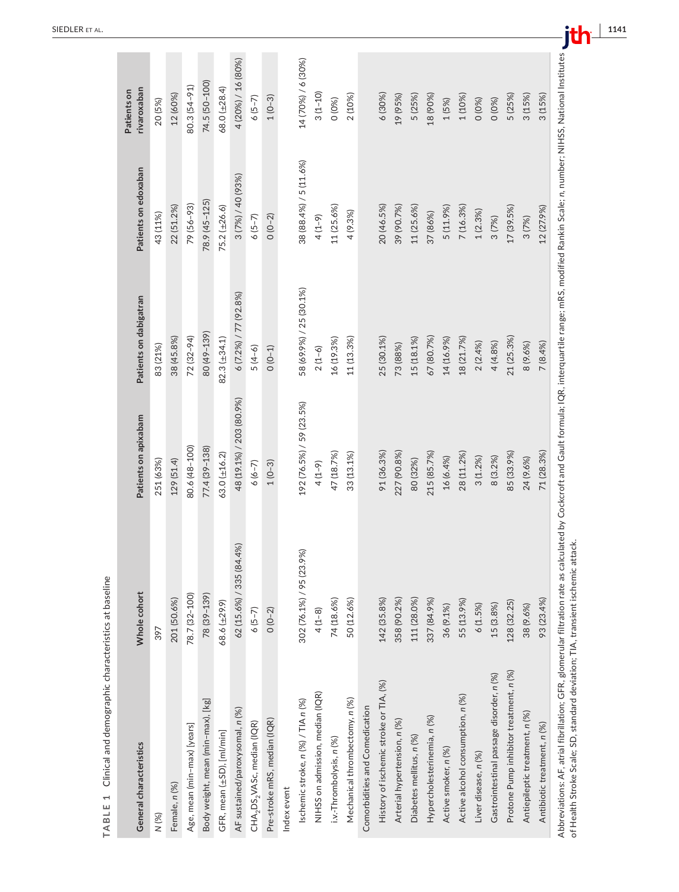| General characteristics                                                                                                                                                               | Whole cohort             | Patients on apixabam     | Patients on dabigatran  | Patients on edoxaban   | rivaroxaban<br>Patients on |
|---------------------------------------------------------------------------------------------------------------------------------------------------------------------------------------|--------------------------|--------------------------|-------------------------|------------------------|----------------------------|
| N (%)                                                                                                                                                                                 | 397                      | 251 (63%)                | 83 (21%)                | 43 (11%)               | 20 (5%)                    |
| Female, n (%)                                                                                                                                                                         | 201 (50.6%)              | 129 (51.4)               | 38 (45.8%)              | 22 (51.2%)             | 12 (60%)                   |
| Age, mean (min-max) [years]                                                                                                                                                           | 78.7 (32-100)            | 80.6 (48-100)            | 72 (32-94)              | 79 (56-93)             | 80.3 (54-91)               |
| Body weight, mean (min-max), [kg]                                                                                                                                                     | 78 (39-139)              | 77.4 (39-138)            | 80 (49-139)             | 78.9 (45-125)          | 74.5 (50-100)              |
| GFR, mean (±SD), [ml/min]                                                                                                                                                             | 68.6 (±29.9)             | 63.0 (±16.2)             | $82.3(\pm 34.1)$        | 75.2 (±26.6)           | 68.0 (±28.4)               |
| AF sustained/paroxysomal, n (%)                                                                                                                                                       | 62 (15.6%) / 335 (84.4%) | 48 (19.1%) / 203 (80.9%) | 6 (7.2%) / 77 (92.8%)   | 3 (7%) / 40 (93%)      | 4 (20%) / 16 (80%)         |
| CHA <sub>2</sub> DS <sub>2</sub> VASc, median (IQR)                                                                                                                                   | $6(5-7)$                 | $6(6-7)$                 | $5(4-6)$                | $6(5-7)$               | $6(5-7)$                   |
| Pre-stroke mRS, median (IQR)                                                                                                                                                          | $0(0-2)$                 | $1(0-3)$                 | $0(0-1)$                | $0(0-2)$               | $1(0-3)$                   |
| Index event                                                                                                                                                                           |                          |                          |                         |                        |                            |
| Ischemic stroke, n (%) / TIA n (%)                                                                                                                                                    | 302 (76.1%) / 95 (23.9%) | 192 (76.5%) / 59 (23.5%) | 58 (69.9%) / 25 (30.1%) | 38 (88.4%) / 5 (11.6%) | 14 (70%) / 6 (30%)         |
| NIHSS on admission, median (IQR)                                                                                                                                                      | $4(1-8)$                 | $4(1-9)$                 | $2(1-6)$                | $4(1-9)$               | $3(1 - 10)$                |
| i.v.-Thrombolysis, n (%)                                                                                                                                                              | 74 (18.6%)               | 47 (18.7%)               | 16 (19.3%)              | 11 (25.6%)             | 0(0%)                      |
| Mechanical thrombectomy, n (%)                                                                                                                                                        | 50 (12.6%)               | 33 (13.1%)               | 11 (13.3%)              | 4 (9.3%)               | 2 (10%)                    |
| Comorbidities and Comedication                                                                                                                                                        |                          |                          |                         |                        |                            |
| History of ischemic stroke or TIA, (%)                                                                                                                                                | 142 (35.8%)              | 91 (36.3%)               | 25 (30.1%)              | 20 (46.5%)             | 6 (30%)                    |
| Arterial hypertension, n (%)                                                                                                                                                          | 358 (90.2%)              | 227 (90.8%)              | 73 (88%)                | 39 (90.7%)             | 19 (95%)                   |
| Diabetes mellitus, n (%)                                                                                                                                                              | 111 (28.0%)              | 80 (32%)                 | 15 (18.1%)              | 11 (25.6%)             | 5 (25%)                    |
| Hypercholesterinemia, n (%)                                                                                                                                                           | 337 (84.9%)              | 215 (85.7%)              | 67 (80.7%)              | 37 (86%)               | 18 (90%)                   |
| Active smoker, n (%)                                                                                                                                                                  | 36 (9.1%)                | 16 (6.4%)                | 14 (16.9%)              | 5 (11.9%)              | 1(5%)                      |
| Active alcohol consumption, n (%)                                                                                                                                                     | 55 (13.9%)               | 28 (11.2%)               | 18 (21.7%)              | 7 (16.3%)              | 1 (10%)                    |
| Liver disease, n (%)                                                                                                                                                                  | 6(1.5%)                  | 3(1.2%)                  | 2(2.4%)                 | 1(2.3%)                | 0(0%)                      |
| Gastrointestinal passage disorder, n (%)                                                                                                                                              | 15(3.8%)                 | 8 (3.2%)                 | 4 (4.8%)                | 3(7%)                  | 0(0%)                      |
| Protone Pump inhibitor treatment, n (%)                                                                                                                                               | 128 (32.25)              | 85 (33.9%)               | 21 (25.3%)              | 17 (39.5%)             | 5 (25%)                    |
| Antiepileptic treatment, n (%)                                                                                                                                                        | 38 (9.6%)                | 24 (9.6%)                | 8 (9.6%)                | 3(7%)                  | 3(15%)                     |
| Antibiotic treatment, n (%)                                                                                                                                                           | 93 (23.4%)               | 71 (28.3%)               | 7(8.4%)                 | 12 (27.9%)             | 3(15%)                     |
| hyperian: AE atrailation: GER alomentlar filtration rate as calculated by Corkers and Cault formular IQ intersumerile ranear molified Rapin Scale: n number NIHCS National Institutes |                          |                          |                         |                        |                            |

<span id="page-3-0"></span>TABLE 1 Clinical and demographic characteristics at baseline **TABLE 1** Clinical and demographic characteristics at baseline

Abbreviations: AF, atrial fibrillation; GFR, glomerular filtration rate as calculated by Cockcroft and Gault formula; IQR, interquartile range; mRS, modified Rankin Scale; *n*, number; NIHSS, National Institutes National Institu Abbreviations: AF, atrial fibrillation; GFR, glomerular filtration rate as calculated by Cockcroft and Gault formula; IQR, interquartile range; mRS, modified Rankin Scale; n, number; NIHSS,<br>of Health Stroke Scale; SD, stan of Health Stroke Scale; SD, standard deviation; TIA, transient ischemic attack.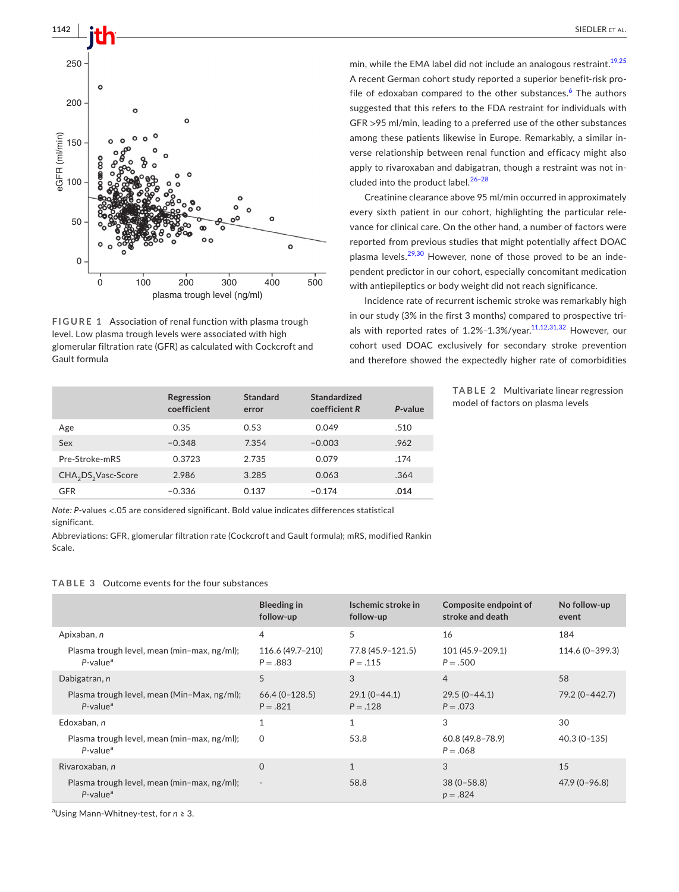



<span id="page-4-0"></span>**FIGURE 1** Association of renal function with plasma trough level. Low plasma trough levels were associated with high glomerular filtration rate (GFR) as calculated with Cockcroft and Gault formula

|                                             | Regression<br>coefficient | Standard<br>error | Standardized<br>coefficient R | P-value |
|---------------------------------------------|---------------------------|-------------------|-------------------------------|---------|
| Age                                         | 0.35                      | 0.53              | 0.049                         | .510    |
| Sex                                         | $-0.348$                  | 7.354             | $-0.003$                      | .962    |
| Pre-Stroke-mRS                              | 0.3723                    | 2.735             | 0.079                         | .174    |
| CHA <sub>2</sub> DS <sub>2</sub> Vasc-Score | 2.986                     | 3.285             | 0.063                         | .364    |
| <b>GFR</b>                                  | $-0.336$                  | 0.137             | $-0.174$                      | .014    |

min, while the EMA label did not include an analogous restraint.<sup>19,25</sup> A recent German cohort study reported a superior benefit-risk pro-file of edoxaban compared to the other substances.<sup>[6](#page-6-10)</sup> The authors suggested that this refers to the FDA restraint for individuals with GFR >95 ml/min, leading to a preferred use of the other substances among these patients likewise in Europe. Remarkably, a similar inverse relationship between renal function and efficacy might also apply to rivaroxaban and dabigatran, though a restraint was not included into the product label.<sup>26-28</sup>

Creatinine clearance above 95 ml/min occurred in approximately every sixth patient in our cohort, highlighting the particular relevance for clinical care. On the other hand, a number of factors were reported from previous studies that might potentially affect DOAC plasma levels.<sup>29,30</sup> However, none of those proved to be an independent predictor in our cohort, especially concomitant medication with antiepileptics or body weight did not reach significance.

Incidence rate of recurrent ischemic stroke was remarkably high in our study (3% in the first 3 months) compared to prospective trials with reported rates of  $1.2\%$ -1.3%/year.<sup>11,12,31,32</sup> However, our cohort used DOAC exclusively for secondary stroke prevention and therefore showed the expectedly higher rate of comorbidities

> <span id="page-4-1"></span>**TABLE 2** Multivariate linear regression model of factors on plasma levels

*Note: P*-values <.05 are considered significant. Bold value indicates differences statistical significant.

Abbreviations: GFR, glomerular filtration rate (Cockcroft and Gault formula); mRS, modified Rankin Scale.

## <span id="page-4-2"></span>**TABLE 3** Outcome events for the four substances

|                                                                        | <b>Bleeding in</b><br>follow-up  | Ischemic stroke in<br>follow-up | Composite endpoint of<br>stroke and death | No follow-up<br>event |
|------------------------------------------------------------------------|----------------------------------|---------------------------------|-------------------------------------------|-----------------------|
| Apixaban, n                                                            | 4                                | 5                               | 16                                        | 184                   |
| Plasma trough level, mean (min-max, ng/ml);<br>$P$ -value <sup>a</sup> | 116.6 (49.7-210)<br>$P = .883$   | 77.8 (45.9-121.5)<br>$P = .115$ | 101 (45.9-209.1)<br>$P = .500$            | 114.6 (0-399.3)       |
| Dabigatran, n                                                          | 5                                | 3                               | $\overline{4}$                            | 58                    |
| Plasma trough level, mean (Min-Max, ng/ml);<br>$P$ -value <sup>a</sup> | $66.4 (0 - 128.5)$<br>$P = .821$ | $29.1(0-44.1)$<br>$P = .128$    | $29.5(0-44.1)$<br>$P = .073$              | 79.2 (0-442.7)        |
| Edoxaban, n                                                            | 1                                |                                 | 3                                         | 30                    |
| Plasma trough level, mean (min-max, ng/ml);<br>$P$ -value <sup>a</sup> | 0                                | 53.8                            | $60.8(49.8 - 78.9)$<br>$P = .068$         | $40.3(0-135)$         |
| Rivaroxaban, n                                                         | $\Omega$                         | $\mathbf{1}$                    | 3                                         | 15                    |
| Plasma trough level, mean (min-max, ng/ml);<br>$P$ -value <sup>a</sup> | $\sim$                           | 58.8                            | $38(0 - 58.8)$<br>$p = .824$              | $47.9(0 - 96.8)$      |

a Using Mann-Whitney-test, for *n* ≥ 3.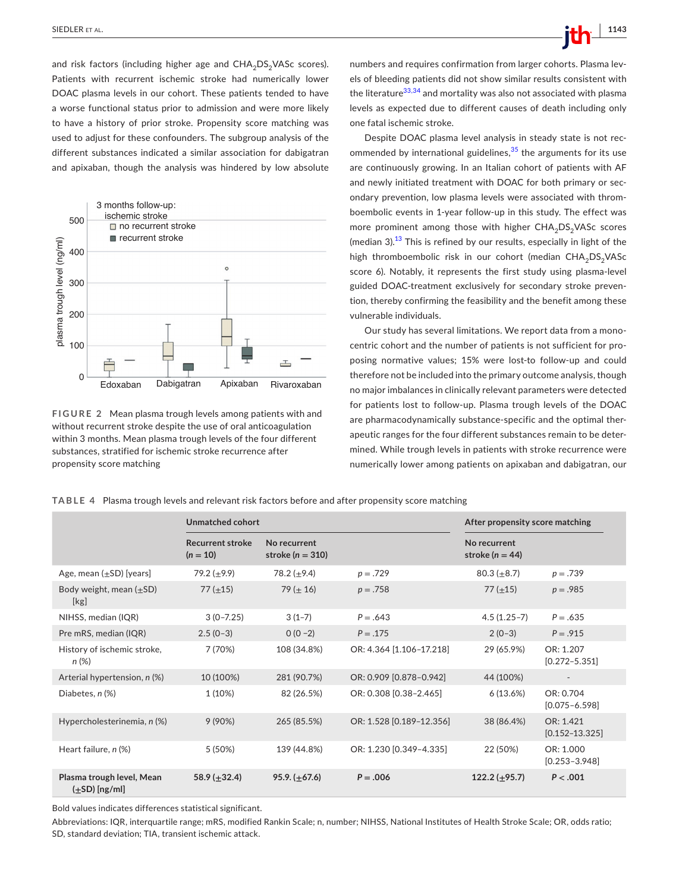and risk factors (including higher age and  $CHA<sub>2</sub>DS<sub>2</sub>VASc$  scores). Patients with recurrent ischemic stroke had numerically lower DOAC plasma levels in our cohort. These patients tended to have a worse functional status prior to admission and were more likely to have a history of prior stroke. Propensity score matching was used to adjust for these confounders. The subgroup analysis of the different substances indicated a similar association for dabigatran and apixaban, though the analysis was hindered by low absolute



<span id="page-5-0"></span>**FIGURE 2** Mean plasma trough levels among patients with and without recurrent stroke despite the use of oral anticoagulation within 3 months. Mean plasma trough levels of the four different substances, stratified for ischemic stroke recurrence after propensity score matching

numbers and requires confirmation from larger cohorts. Plasma levels of bleeding patients did not show similar results consistent with the literature<sup>33,34</sup> and mortality was also not associated with plasma levels as expected due to different causes of death including only one fatal ischemic stroke.

Despite DOAC plasma level analysis in steady state is not recommended by international guidelines,  $35$  the arguments for its use are continuously growing. In an Italian cohort of patients with AF and newly initiated treatment with DOAC for both primary or secondary prevention, low plasma levels were associated with thromboembolic events in 1-year follow-up in this study. The effect was more prominent among those with higher  $CHA<sub>2</sub>DS<sub>2</sub>VASC scores$ (median 3).<sup>[13](#page-6-7)</sup> This is refined by our results, especially in light of the high thromboembolic risk in our cohort (median  $CHA<sub>2</sub>DS<sub>2</sub>VASc$ score 6). Notably, it represents the first study using plasma-level guided DOAC-treatment exclusively for secondary stroke prevention, thereby confirming the feasibility and the benefit among these vulnerable individuals.

Our study has several limitations. We report data from a monocentric cohort and the number of patients is not sufficient for proposing normative values; 15% were lost-to follow-up and could therefore not be included into the primary outcome analysis, though no major imbalances in clinically relevant parameters were detected for patients lost to follow-up. Plasma trough levels of the DOAC are pharmacodynamically substance-specific and the optimal therapeutic ranges for the four different substances remain to be determined. While trough levels in patients with stroke recurrence were numerically lower among patients on apixaban and dabigatran, our

<span id="page-5-1"></span>**TABLE 4** Plasma trough levels and relevant risk factors before and after propensity score matching

|                                                 | Unmatched cohort                      |                                      |                          | After propensity score matching     |                                 |
|-------------------------------------------------|---------------------------------------|--------------------------------------|--------------------------|-------------------------------------|---------------------------------|
|                                                 | <b>Recurrent stroke</b><br>$(n = 10)$ | No recurrent<br>stroke ( $n = 310$ ) |                          | No recurrent<br>stroke ( $n = 44$ ) |                                 |
| Age, mean $(\pm SD)$ [years]                    | 79.2 $(\pm 9.9)$                      | 78.2 $(\pm 9.4)$                     | $p = .729$               | $80.3 \ (\pm 8.7)$                  | $p = .739$                      |
| Body weight, mean $(\pm SD)$<br>[kg]            | 77 $(\pm 15)$                         | 79 ( $\pm$ 16)                       | $p = .758$               | 77 $(\pm 15)$                       | $p = .985$                      |
| NIHSS, median (IQR)                             | $3(0 - 7.25)$                         | $3(1-7)$                             | $P = .643$               | $4.5(1.25-7)$                       | $P = .635$                      |
| Pre mRS, median (IQR)                           | $2.5(0-3)$                            | $0(0-2)$                             | $P = .175$               | $2(0-3)$                            | $P = .915$                      |
| History of ischemic stroke,<br>$n (\%)$         | 7 (70%)                               | 108 (34.8%)                          | OR: 4.364 [1.106-17.218] | 29 (65.9%)                          | OR: 1.207<br>$[0.272 - 5.351]$  |
| Arterial hypertension, n (%)                    | 10 (100%)                             | 281 (90.7%)                          | OR: 0.909 [0.878-0.942]  | 44 (100%)                           | $\overline{\phantom{a}}$        |
| Diabetes, n (%)                                 | 1(10%)                                | 82 (26.5%)                           | OR: 0.308 [0.38-2.465]   | 6(13.6%)                            | OR: 0.704<br>$[0.075 - 6.598]$  |
| Hypercholesterinemia, n (%)                     | 9(90%)                                | 265 (85.5%)                          | OR: 1.528 [0.189-12.356] | 38 (86.4%)                          | OR: 1.421<br>$[0.152 - 13.325]$ |
| Heart failure, n (%)                            | 5 (50%)                               | 139 (44.8%)                          | OR: 1.230 [0.349-4.335]  | 22 (50%)                            | OR: 1.000<br>$[0.253 - 3.948]$  |
| Plasma trough level, Mean<br>$(\pm SD)$ [ng/ml] | 58.9 $(\pm 32.4)$                     | 95.9. $(\pm 67.6)$                   | $P = .006$               | 122.2 $(\pm 95.7)$                  | P < .001                        |

Bold values indicates differences statistical significant.

Abbreviations: IQR, interquartile range; mRS, modified Rankin Scale; n, number; NIHSS, National Institutes of Health Stroke Scale; OR, odds ratio; SD, standard deviation; TIA, transient ischemic attack.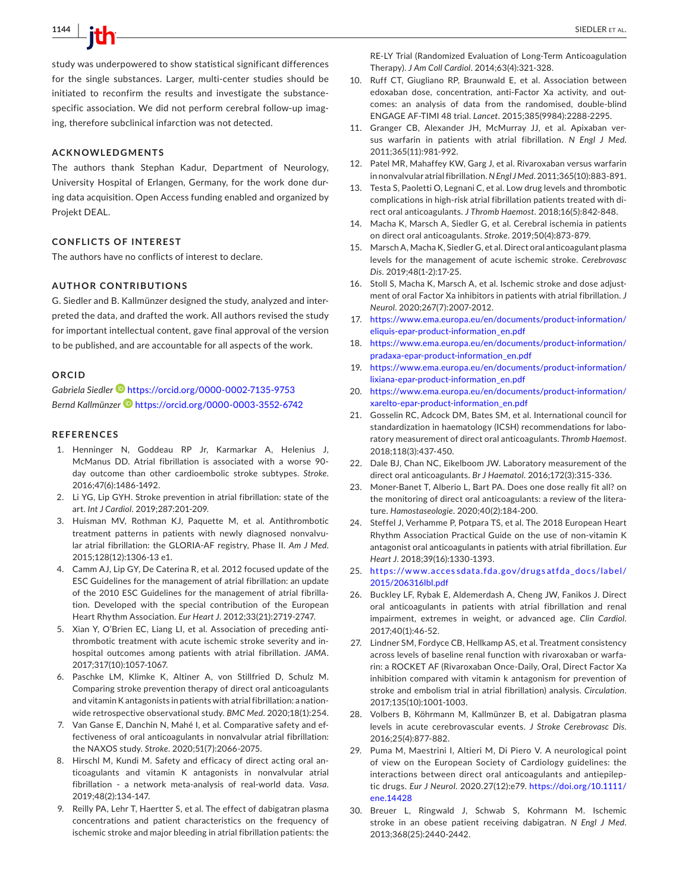study was underpowered to show statistical significant differences for the single substances. Larger, multi-center studies should be initiated to reconfirm the results and investigate the substancespecific association. We did not perform cerebral follow-up imaging, therefore subclinical infarction was not detected.

#### **ACKNOWLEDGMENTS**

The authors thank Stephan Kadur, Department of Neurology, University Hospital of Erlangen, Germany, for the work done during data acquisition. Open Access funding enabled and organized by Projekt DEAL.

#### **CONFLICTS OF INTEREST**

The authors have no conflicts of interest to declare.

#### **AUTHOR CONTRIBUTIONS**

G. Siedler and B. Kallmünzer designed the study, analyzed and interpreted the data, and drafted the work. All authors revised the study for important intellectual content, gave final approval of the version to be published, and are accountable for all aspects of the work.

#### **ORCID**

*Gabriela Siedle[r](https://orcid.org/0000-0002-7135-9753)* <https://orcid.org/0000-0002-7135-9753> *Bernd Kallmünzer* <https://orcid.org/0000-0003-3552-6742>

#### **REFERENCES**

- <span id="page-6-0"></span>1. Henninger N, Goddeau RP Jr, Karmarkar A, Helenius J, McManus DD. Atrial fibrillation is associated with a worse 90 day outcome than other cardioembolic stroke subtypes. *Stroke*. 2016;47(6):1486-1492.
- 2. Li YG, Lip GYH. Stroke prevention in atrial fibrillation: state of the art. *Int J Cardiol*. 2019;287:201-209.
- <span id="page-6-1"></span>3. Huisman MV, Rothman KJ, Paquette M, et al. Antithrombotic treatment patterns in patients with newly diagnosed nonvalvular atrial fibrillation: the GLORIA-AF registry, Phase II. *Am J Med*. 2015;128(12):1306-13 e1.
- 4. Camm AJ, Lip GY, De Caterina R, et al. 2012 focused update of the ESC Guidelines for the management of atrial fibrillation: an update of the 2010 ESC Guidelines for the management of atrial fibrillation. Developed with the special contribution of the European Heart Rhythm Association. *Eur Heart J*. 2012;33(21):2719-2747.
- <span id="page-6-2"></span>5. Xian Y, O'Brien EC, Liang LI, et al. Association of preceding antithrombotic treatment with acute ischemic stroke severity and inhospital outcomes among patients with atrial fibrillation. *JAMA*. 2017;317(10):1057-1067.
- <span id="page-6-10"></span>6. Paschke LM, Klimke K, Altiner A, von Stillfried D, Schulz M. Comparing stroke prevention therapy of direct oral anticoagulants and vitamin K antagonists in patients with atrial fibrillation: a nationwide retrospective observational study. *BMC Med*. 2020;18(1):254.
- 7. Van Ganse E, Danchin N, Mahé I, et al. Comparative safety and effectiveness of oral anticoagulants in nonvalvular atrial fibrillation: the NAXOS study. *Stroke*. 2020;51(7):2066-2075.
- 8. Hirschl M, Kundi M. Safety and efficacy of direct acting oral anticoagulants and vitamin K antagonists in nonvalvular atrial fibrillation - a network meta-analysis of real-world data. *Vasa*. 2019;48(2):134-147.
- <span id="page-6-3"></span>9. Reilly PA, Lehr T, Haertter S, et al. The effect of dabigatran plasma concentrations and patient characteristics on the frequency of ischemic stroke and major bleeding in atrial fibrillation patients: the

RE-LY Trial (Randomized Evaluation of Long-Term Anticoagulation Therapy). *J Am Coll Cardiol*. 2014;63(4):321-328.

- 10. Ruff CT, Giugliano RP, Braunwald E, et al. Association between edoxaban dose, concentration, anti-Factor Xa activity, and outcomes: an analysis of data from the randomised, double-blind ENGAGE AF-TIMI 48 trial. *Lancet*. 2015;385(9984):2288-2295.
- <span id="page-6-13"></span>11. Granger CB, Alexander JH, McMurray JJ, et al. Apixaban versus warfarin in patients with atrial fibrillation. *N Engl J Med*. 2011;365(11):981-992.
- 12. Patel MR, Mahaffey KW, Garg J, et al. Rivaroxaban versus warfarin in nonvalvular atrial fibrillation. *N Engl J Med*. 2011;365(10):883-891.
- <span id="page-6-7"></span>13. Testa S, Paoletti O, Legnani C, et al. Low drug levels and thrombotic complications in high-risk atrial fibrillation patients treated with direct oral anticoagulants. *J Thromb Haemost*. 2018;16(5):842-848.
- <span id="page-6-4"></span>14. Macha K, Marsch A, Siedler G, et al. Cerebral ischemia in patients on direct oral anticoagulants. *Stroke*. 2019;50(4):873-879.
- 15. Marsch A, Macha K, Siedler G, et al. Direct oral anticoagulant plasma levels for the management of acute ischemic stroke. *Cerebrovasc Dis*. 2019;48(1-2):17-25.
- 16. Stoll S, Macha K, Marsch A, et al. Ischemic stroke and dose adjustment of oral Factor Xa inhibitors in patients with atrial fibrillation. *J Neurol*. 2020;267(7):2007-2012.
- <span id="page-6-5"></span>17. [https://www.ema.europa.eu/en/documents/product-information/](https://www.ema.europa.eu/en/documents/product-information/eliquis-epar-product-information_en.pdf) [eliquis-epar-product-information\\_en.pdf](https://www.ema.europa.eu/en/documents/product-information/eliquis-epar-product-information_en.pdf)
- 18. [https://www.ema.europa.eu/en/documents/product-information/](https://www.ema.europa.eu/en/documents/product-information/pradaxa-epar-product-information_en.pdf) [pradaxa-epar-product-information\\_en.pdf](https://www.ema.europa.eu/en/documents/product-information/pradaxa-epar-product-information_en.pdf)
- <span id="page-6-9"></span>19. [https://www.ema.europa.eu/en/documents/product-information/](https://www.ema.europa.eu/en/documents/product-information/lixiana-epar-product-information_en.pdf) [lixiana-epar-product-information\\_en.pdf](https://www.ema.europa.eu/en/documents/product-information/lixiana-epar-product-information_en.pdf)
- 20. [https://www.ema.europa.eu/en/documents/product-information/](https://www.ema.europa.eu/en/documents/product-information/xarelto-epar-product-information_en.pdf) [xarelto-epar-product-information\\_en.pdf](https://www.ema.europa.eu/en/documents/product-information/xarelto-epar-product-information_en.pdf)
- <span id="page-6-6"></span>21. Gosselin RC, Adcock DM, Bates SM, et al. International council for standardization in haematology (ICSH) recommendations for laboratory measurement of direct oral anticoagulants. *Thromb Haemost*. 2018;118(3):437-450.
- 22. Dale BJ, Chan NC, Eikelboom JW. Laboratory measurement of the direct oral anticoagulants. *Br J Haematol*. 2016;172(3):315-336.
- 23. Moner-Banet T, Alberio L, Bart PA. Does one dose really fit all? on the monitoring of direct oral anticoagulants: a review of the literature. *Hamostaseologie*. 2020;40(2):184-200.
- <span id="page-6-8"></span>24. Steffel J, Verhamme P, Potpara TS, et al. The 2018 European Heart Rhythm Association Practical Guide on the use of non-vitamin K antagonist oral anticoagulants in patients with atrial fibrillation. *Eur Heart J*. 2018;39(16):1330-1393.
- 25. https://www.acces [sdata.fda.gov/drugs](https://www.accessdata.fda.gov/drugsatfda_docs/label/2015/206316lbl.pdf) atfda\_docs/label/ [2015/206316lbl.pdf](https://www.accessdata.fda.gov/drugsatfda_docs/label/2015/206316lbl.pdf)
- <span id="page-6-11"></span>26. Buckley LF, Rybak E, Aldemerdash A, Cheng JW, Fanikos J. Direct oral anticoagulants in patients with atrial fibrillation and renal impairment, extremes in weight, or advanced age. *Clin Cardiol*. 2017;40(1):46-52.
- 27. Lindner SM, Fordyce CB, Hellkamp AS, et al. Treatment consistency across levels of baseline renal function with rivaroxaban or warfarin: a ROCKET AF (Rivaroxaban Once-Daily, Oral, Direct Factor Xa inhibition compared with vitamin k antagonism for prevention of stroke and embolism trial in atrial fibrillation) analysis. *Circulation*. 2017;135(10):1001-1003.
- 28. Volbers B, Köhrmann M, Kallmünzer B, et al. Dabigatran plasma levels in acute cerebrovascular events. *J Stroke Cerebrovasc Dis*. 2016;25(4):877-882.
- <span id="page-6-12"></span>29. Puma M, Maestrini I, Altieri M, Di Piero V. A neurological point of view on the European Society of Cardiology guidelines: the interactions between direct oral anticoagulants and antiepileptic drugs. *Eur J Neurol*. 2020.27(12):e79. [https://doi.org/10.1111/](https://doi.org/10.1111/ene.14428) [ene.14428](https://doi.org/10.1111/ene.14428)
- 30. Breuer L, Ringwald J, Schwab S, Kohrmann M. Ischemic stroke in an obese patient receiving dabigatran. *N Engl J Med*. 2013;368(25):2440-2442.